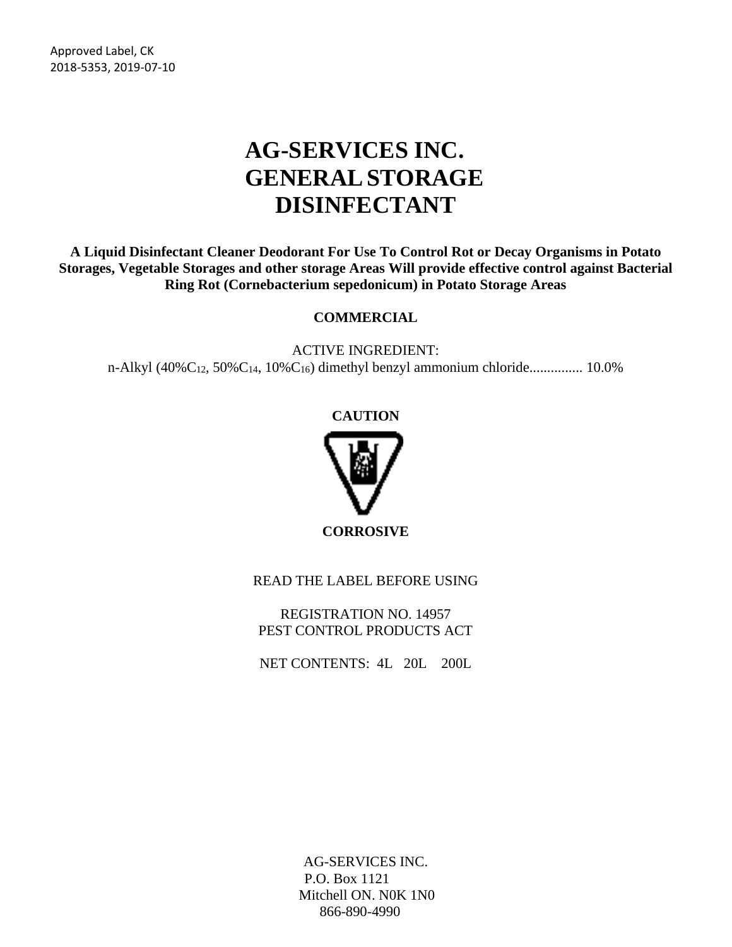Approved Label, CK 2018-5353, 2019-07-10

# **AG-SERVICES INC. GENERALSTORAGE DISINFECTANT**

**A Liquid Disinfectant Cleaner Deodorant For Use To Control Rot or Decay Organisms in Potato Storages, Vegetable Storages and other storage Areas Will provide effective control against Bacterial Ring Rot (Cornebacterium sepedonicum) in Potato Storage Areas**

#### **COMMERCIAL**

ACTIVE INGREDIENT: n-Alkyl (40% $C_{12}$ , 50% $C_{14}$ , 10% $C_{16}$ ) dimethyl benzyl ammonium chloride...................... 10.0%

#### **CAUTION**



**CORROSIVE**

READ THE LABEL BEFORE USING

REGISTRATION NO. 14957 PEST CONTROL PRODUCTS ACT

NET CONTENTS: 4L 20L 200L

AG-SERVICES INC. P.O. Box 1121 Mitchell ON. N0K 1N0 866-890-4990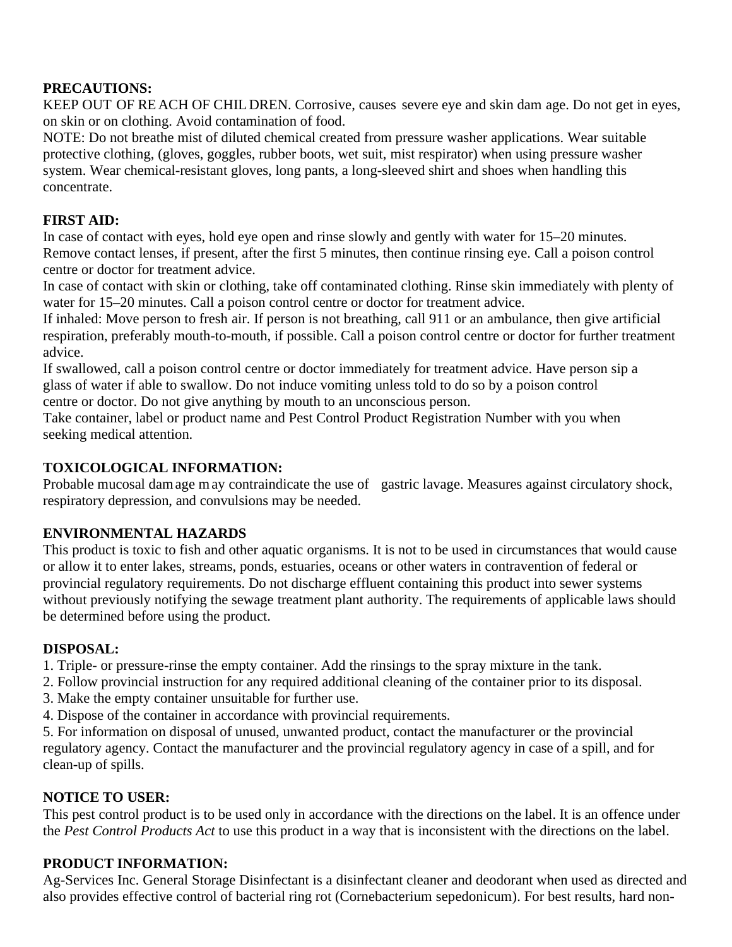#### **PRECAUTIONS:**

KEEP OUT OF RE ACH OF CHIL DREN. Corrosive, causes severe eye and skin dam age. Do not get in eyes, on skin or on clothing. Avoid contamination of food.

NOTE: Do not breathe mist of diluted chemical created from pressure washer applications. Wear suitable protective clothing, (gloves, goggles, rubber boots, wet suit, mist respirator) when using pressure washer system. Wear chemical-resistant gloves, long pants, a long-sleeved shirt and shoes when handling this concentrate.

## **FIRST AID:**

In case of contact with eyes, hold eye open and rinse slowly and gently with water for 15–20 minutes. Remove contact lenses, if present, after the first 5 minutes, then continue rinsing eye. Call a poison control centre or doctor for treatment advice.

In case of contact with skin or clothing, take off contaminated clothing. Rinse skin immediately with plenty of water for 15–20 minutes. Call a poison control centre or doctor for treatment advice.

If inhaled: Move person to fresh air. If person is not breathing, call 911 or an ambulance, then give artificial respiration, preferably mouth-to-mouth, if possible. Call a poison control centre or doctor for further treatment advice.

If swallowed, call a poison control centre or doctor immediately for treatment advice. Have person sip a glass of water if able to swallow. Do not induce vomiting unless told to do so by a poison control centre or doctor. Do not give anything by mouth to an unconscious person.

Take container, label or product name and Pest Control Product Registration Number with you when seeking medical attention.

#### **TOXICOLOGICAL INFORMATION:**

Probable mucosal damage may contraindicate the use of gastric lavage. Measures against circulatory shock, respiratory depression, and convulsions may be needed.

## **ENVIRONMENTAL HAZARDS**

This product is toxic to fish and other aquatic organisms. It is not to be used in circumstances that would cause or allow it to enter lakes, streams, ponds, estuaries, oceans or other waters in contravention of federal or provincial regulatory requirements. Do not discharge effluent containing this product into sewer systems without previously notifying the sewage treatment plant authority. The requirements of applicable laws should be determined before using the product.

#### **DISPOSAL:**

1. Triple- or pressure-rinse the empty container. Add the rinsings to the spray mixture in the tank.

- 2. Follow provincial instruction for any required additional cleaning of the container prior to its disposal.
- 3. Make the empty container unsuitable for further use.
- 4. Dispose of the container in accordance with provincial requirements.

5. For information on disposal of unused, unwanted product, contact the manufacturer or the provincial regulatory agency. Contact the manufacturer and the provincial regulatory agency in case of a spill, and for clean-up of spills.

## **NOTICE TO USER:**

This pest control product is to be used only in accordance with the directions on the label. It is an offence under the *Pest Control Products Act* to use this product in a way that is inconsistent with the directions on the label.

## **PRODUCT INFORMATION:**

Ag-Services Inc. General Storage Disinfectant is a disinfectant cleaner and deodorant when used as directed and also provides effective control of bacterial ring rot (Cornebacterium sepedonicum). For best results, hard non